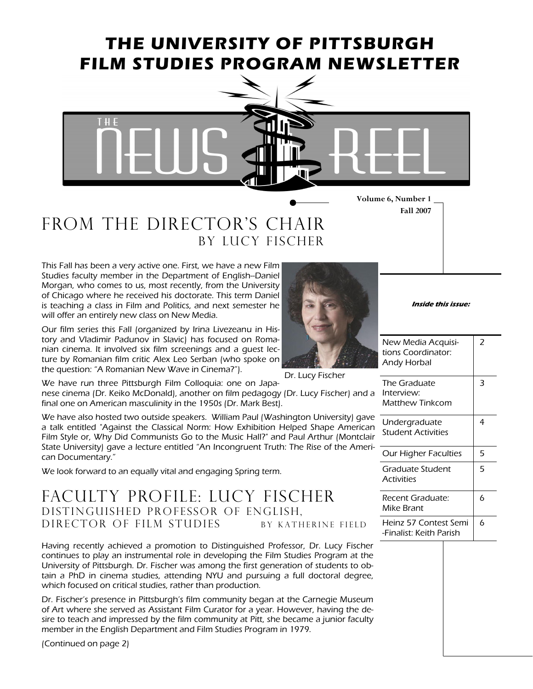## THE UNIVERSITY OF PITTSBURGH FILM STUDIES PROGRAM NEWSLETTER



FROM THE DIRECTOR'S CHAIR By Lucy fischer

This Fall has been a very active one. First, we have a new Film Studies faculty member in the Department of English--Daniel Morgan, who comes to us, most recently, from the University of Chicago where he received his doctorate. This term Daniel is teaching a class in Film and Politics, and next semester he will offer an entirely new class on New Media.

Our film series this Fall (organized by Irina Livezeanu in History and Vladimir Padunov in Slavic) has focused on Romanian cinema. It involved six film screenings and a guest lecture by Romanian film critic Alex Leo Serban (who spoke on the question: "A Romanian New Wave in Cinema?").

We have run three Pittsburgh Film Colloquia: one on Japanese cinema (Dr. Keiko McDonald), another on film pedagogy (Dr. Lucy Fischer) and a final one on American masculinity in the 1950s (Dr. Mark Best). Dr. Lucy Fischer

We have also hosted two outside speakers. William Paul (Washington University) gave a talk entitled "Against the Classical Norm: How Exhibition Helped Shape American Film Style or, Why Did Communists Go to the Music Hall?" and Paul Arthur (Montclair State University) gave a lecture entitled "An Incongruent Truth: The Rise of the American Documentary."

We look forward to an equally vital and engaging Spring term.

#### Faculty profile: Lucy fischer distinguished professor of english, DIRECTOR OF FILM STUDIES BY KATHERINE FIELD

Having recently achieved a promotion to Distinguished Professor, Dr. Lucy Fischer continues to play an instrumental role in developing the Film Studies Program at the University of Pittsburgh. Dr. Fischer was among the first generation of students to obtain a PhD in cinema studies, attending NYU and pursuing a full doctoral degree, which focused on critical studies, rather than production.

Dr. Fischer's presence in Pittsburgh's film community began at the Carnegie Museum of Art where she served as Assistant Film Curator for a year. However, having the desire to teach and impressed by the film community at Pitt, she became a junior faculty member in the English Department and Film Studies Program in 1979.

(Continued on page 2)



Inside this issue:

Fall 2007

| New Media Acquisi-<br>tions Coordinator:<br><b>Andy Horbal</b> | 2 |
|----------------------------------------------------------------|---|
| The Graduate<br>Interview:<br>Matthew Tinkcom                  | 3 |
| Undergraduate<br><b>Student Activities</b>                     | 4 |
| Our Higher Faculties                                           | 5 |
| Graduate Student<br><b>Activities</b>                          | 5 |
| Recent Graduate:<br>Mike Brant                                 | 6 |
| Heinz 57 Contest Semi<br>-Finalist: Keith Parish               | 6 |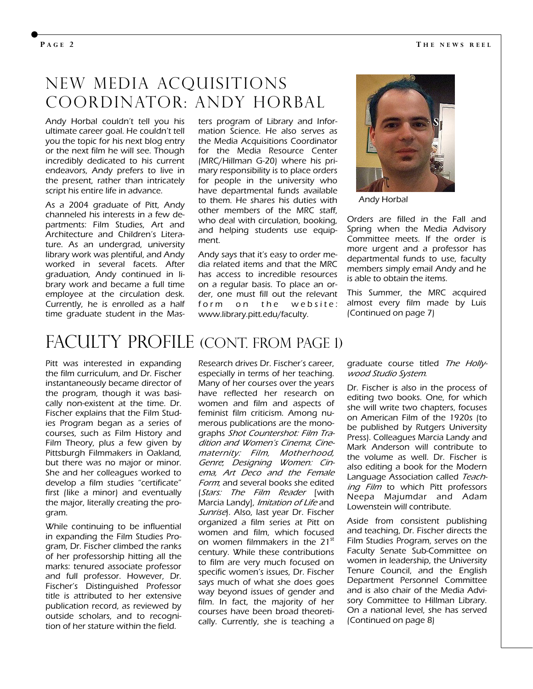#### New media acquisitions Coordinator: andy horbal

Andy Horbal couldn't tell you his ultimate career goal. He couldn't tell you the topic for his next blog entry or the next film he will see. Though incredibly dedicated to his current endeavors, Andy prefers to live in the present, rather than intricately script his entire life in advance.

As a 2004 graduate of Pitt, Andy channeled his interests in a few departments: Film Studies, Art and Architecture and Children's Literature. As an undergrad, university library work was plentiful, and Andy worked in several facets. After graduation, Andy continued in library work and became a full time employee at the circulation desk. Currently, he is enrolled as a half time graduate student in the Mas-

ters program of Library and Information Science. He also serves as the Media Acquisitions Coordinator for the Media Resource Center (MRC/Hillman G-20) where his primary responsibility is to place orders for people in the university who have departmental funds available to them. He shares his duties with other members of the MRC staff, who deal with circulation, booking, and helping students use equipment.

Andy says that it's easy to order media related items and that the MRC has access to incredible resources on a regular basis. To place an order, one must fill out the relevant form on the website: www.library.pitt.edu/faculty.



Andy Horbal

Orders are filled in the Fall and Spring when the Media Advisory Committee meets. If the order is more urgent and a professor has departmental funds to use, faculty members simply email Andy and he is able to obtain the items.

This Summer, the MRC acquired almost every film made by Luis (Continued on page 7)

## FACULTY PROFILE (CONT. FROM PAGE 1)

Pitt was interested in expanding the film curriculum, and Dr. Fischer instantaneously became director of the program, though it was basically non-existent at the time. Dr. Fischer explains that the Film Studies Program began as a series of courses, such as Film History and Film Theory, plus a few given by Pittsburgh Filmmakers in Oakland, but there was no major or minor. She and her colleagues worked to develop a film studies "certificate" first (like a minor) and eventually the major, literally creating the program.

While continuing to be influential in expanding the Film Studies Program, Dr. Fischer climbed the ranks of her professorship hitting all the marks: tenured associate professor and full professor. However, Dr. Fischer's Distinguished Professor title is attributed to her extensive publication record, as reviewed by outside scholars, and to recognition of her stature within the field.

Research drives Dr. Fischer's career, especially in terms of her teaching. Many of her courses over the years have reflected her research on women and film and aspects of feminist film criticism. Among numerous publications are the monographs Shot Countershot: Film Tradition and Women's Cinema; Cinematernity: Film, Motherhood, Genre; Designing Women: Cinema, Art Deco and the Female Form; and several books she edited (Stars: The Film Reader [with Marcia Landy], Imitation of Life and Sunrise). Also, last year Dr. Fischer organized a film series at Pitt on women and film, which focused on women filmmakers in the 21<sup>st</sup> century. While these contributions to film are very much focused on specific women's issues, Dr. Fischer says much of what she does goes way beyond issues of gender and film. In fact, the majority of her courses have been broad theoretically. Currently, she is teaching a graduate course titled The Hollywood Studio System.

Dr. Fischer is also in the process of editing two books. One, for which she will write two chapters, focuses on American Film of the 1920s (to be published by Rutgers University Press). Colleagues Marcia Landy and Mark Anderson will contribute to the volume as well. Dr. Fischer is also editing a book for the Modern Language Association called Teaching Film to which Pitt professors Neepa Majumdar and Adam Lowenstein will contribute.

Aside from consistent publishing and teaching, Dr. Fischer directs the Film Studies Program, serves on the Faculty Senate Sub-Committee on women in leadership, the University Tenure Council, and the English Department Personnel Committee and is also chair of the Media Advisory Committee to Hillman Library. On a national level, she has served (Continued on page 8)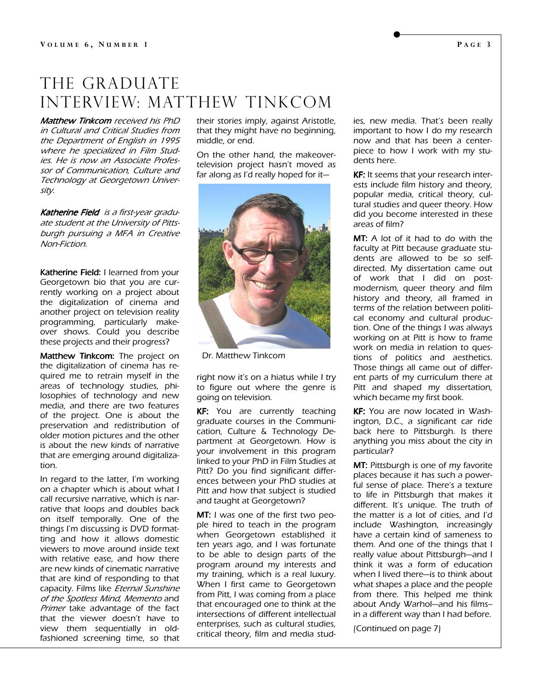#### THE GRADUATE Interview: Matthew tinkcom

Matthew Tinkcom received his PhD in Cultural and Critical Studies from the Department of English in 1995 where he specialized in Film Studies. He is now an Associate Professor of Communication, Culture and Technology at Georgetown University.

Katherine Field is a first-year graduate student at the University of Pittsburgh pursuing a MFA in Creative Non-Fiction.

Katherine Field: I learned from your Georgetown bio that you are currently working on a project about the digitalization of cinema and another project on television reality programming, particularly makeover shows. Could you describe these projects and their progress?

Matthew Tinkcom: The project on the digitalization of cinema has required me to retrain myself in the areas of technology studies, philosophies of technology and new media, and there are two features of the project. One is about the preservation and redistribution of older motion pictures and the other is about the new kinds of narrative that are emerging around digitalization.

In regard to the latter, I'm working on a chapter which is about what I call recursive narrative, which is narrative that loops and doubles back on itself temporally. One of the things I'm discussing is DVD formatting and how it allows domestic viewers to move around inside text with relative ease, and how there are new kinds of cinematic narrative that are kind of responding to that capacity. Films like Eternal Sunshine of the Spotless Mind, Memento and Primer take advantage of the fact that the viewer doesn't have to view them sequentially in oldfashioned screening time, so that

their stories imply, against Aristotle, that they might have no beginning, middle, or end.

On the other hand, the makeovertelevision project hasn't moved as far along as I'd really hoped for it—



Dr. Matthew Tinkcom

right now it's on a hiatus while I try to figure out where the genre is going on television.

KF: You are currently teaching graduate courses in the Communication, Culture & Technology Department at Georgetown. How is your involvement in this program linked to your PhD in Film Studies at Pitt? Do you find significant differences between your PhD studies at Pitt and how that subject is studied and taught at Georgetown?

MT: I was one of the first two people hired to teach in the program when Georgetown established it ten years ago, and I was fortunate to be able to design parts of the program around my interests and my training, which is a real luxury. When I first came to Georgetown from Pitt, I was coming from a place that encouraged one to think at the intersections of different intellectual enterprises, such as cultural studies, critical theory, film and media studies, new media. That's been really important to how I do my research now and that has been a centerpiece to how I work with my students here.

KF: It seems that your research inter ests include film history and theory, popular media, critical theory, cultural studies and queer theory. How did you become interested in these areas of film?

MT: A lot of it had to do with the faculty at Pitt because graduate students are allowed to be so selfdirected. My dissertation came out of work that I did on postmodernism, queer theory and film history and theory, all framed in terms of the relation between political economy and cultural production. One of the things I was always working on at Pitt is how to frame work on media in relation to questions of politics and aesthetics. Those things all came out of different parts of my curriculum there at Pitt and shaped my dissertation, which became my first book.

KF: You are now located in Wash ington, D.C., a significant car ride back here to Pittsburgh. Is there anything you miss about the city in particular?

**MT:** Pittsburgh is one of my favorite places because it has such a powerful sense of place. There's a texture to life in Pittsburgh that makes it different. It's unique. The truth of the matter is a lot of cities, and I'd include Washington, increasingly have a certain kind of sameness to them. And one of the things that I really value about Pittsburgh—and I think it was a form of education when I lived there—is to think about what shapes a place and the people from there. This helped me think about Andy Warhol—and his films- in a different way than I had before.

(Continued on page 7)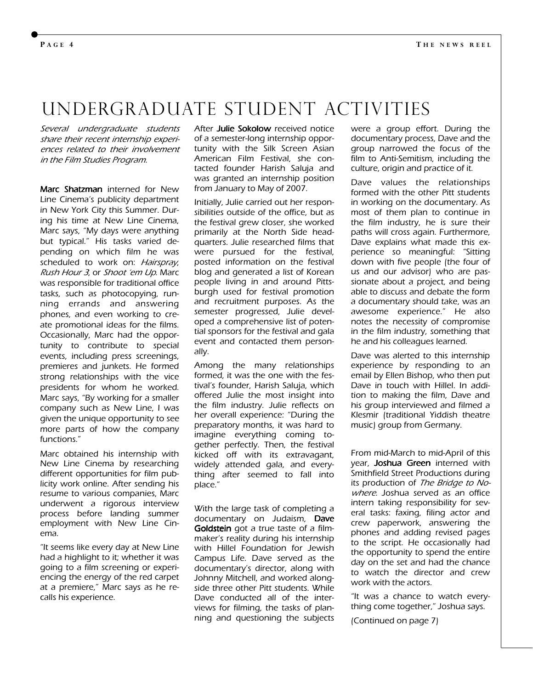### undergraduate student Activities

Several undergraduate students share their recent internship experiences related to their involvement in the Film Studies Program.

Marc Shatzman interned for New Line Cinema's publicity department in New York City this Summer. During his time at New Line Cinema, Marc says, "My days were anything but typical." His tasks varied depending on which film he was scheduled to work on: Hairspray, Rush Hour 3, or Shoot 'em Up. Marc was responsible for traditional office tasks, such as photocopying, running errands and answering phones, and even working to create promotional ideas for the films. Occasionally, Marc had the opportunity to contribute to special events, including press screenings, premieres and junkets. He formed strong relationships with the vice presidents for whom he worked. Marc says, "By working for a smaller company such as New Line, I was given the unique opportunity to see more parts of how the company functions."

Marc obtained his internship with New Line Cinema by researching different opportunities for film publicity work online. After sending his resume to various companies, Marc underwent a rigorous interview process before landing summer employment with New Line Cinema.

"It seems like every day at New Line had a highlight to it; whether it was going to a film screening or experiencing the energy of the red carpet at a premiere," Marc says as he recalls his experience.

After Julie Sokolow received notice of a semester-long internship opportunity with the Silk Screen Asian American Film Festival, she contacted founder Harish Saluja and was granted an internship position from January to May of 2007.

Initially, Julie carried out her responsibilities outside of the office, but as the festival grew closer, she worked primarily at the North Side headquarters. Julie researched films that were pursued for the festival, posted information on the festival blog and generated a list of Korean people living in and around Pittsburgh used for festival promotion and recruitment purposes. As the semester progressed, Julie developed a comprehensive list of potential sponsors for the festival and gala event and contacted them personally.

Among the many relationships formed, it was the one with the festival's founder, Harish Saluja, which offered Julie the most insight into the film industry. Julie reflects on her overall experience: "During the preparatory months, it was hard to imagine everything coming together perfectly. Then, the festival kicked off with its extravagant, widely attended gala, and everything after seemed to fall into place."

With the large task of completing a documentary on Judaism, Dave Goldstein got a true taste of a filmmaker's reality during his internship with Hillel Foundation for Jewish Campus Life. Dave served as the documentary's director, along with Johnny Mitchell, and worked alongside three other Pitt students. While Dave conducted all of the interviews for filming, the tasks of planning and questioning the subjects were a group effort. During the documentary process, Dave and the group narrowed the focus of the film to Anti-Semitism, including the culture, origin and practice of it.

Dave values the relationships formed with the other Pitt students in working on the documentary. As most of them plan to continue in the film industry, he is sure their paths will cross again. Furthermore, Dave explains what made this experience so meaningful: "Sitting down with five people (the four of us and our advisor) who are passionate about a project, and being able to discuss and debate the form a documentary should take, was an awesome experience." He also notes the necessity of compromise in the film industry, something that he and his colleagues learned.

Dave was alerted to this internship experience by responding to an email by Ellen Bishop, who then put Dave in touch with Hillel. In addition to making the film, Dave and his group interviewed and filmed a Klesmir (traditional Yiddish theatre music) group from Germany.

From mid-March to mid-April of this year, **Joshua Green** interned with Smithfield Street Productions during its production of The Bridge to Nowhere. Joshua served as an office intern taking responsibility for several tasks: faxing, filing actor and crew paperwork, answering the phones and adding revised pages to the script. He occasionally had the opportunity to spend the entire day on the set and had the chance to watch the director and crew work with the actors.

"It was a chance to watch everything come together," Joshua says.

(Continued on page 7)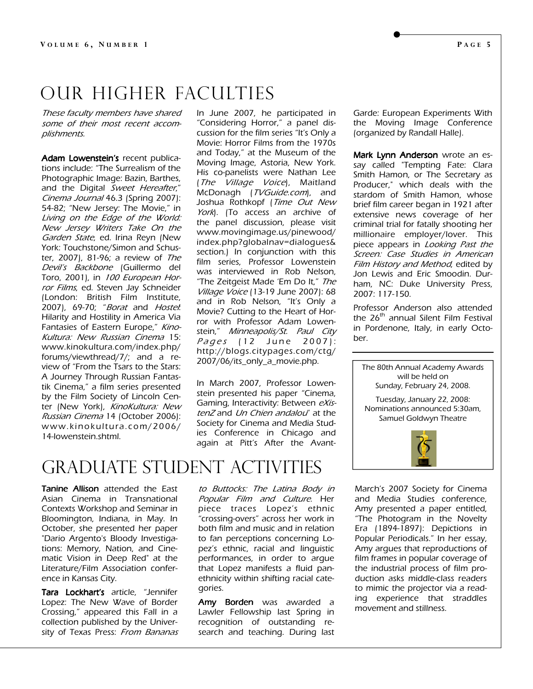## Our higher faculties

These faculty members have shared some of their most recent accomplishments.

Adam Lowenstein's recent publications include: "The Surrealism of the Photographic Image: Bazin, Barthes, and the Digital Sweet Hereafter," Cinema Journal 46.3 (Spring 2007): 54-82; "New Jersey: The Movie," in Living on the Edge of the World: New Jersey Writers Take On the Garden State, ed. Irina Reyn (New York: Touchstone/Simon and Schuster, 2007), 81-96; a review of The Devil's Backbone (Guillermo del Toro, 2001), in 100 European Horror Films, ed. Steven Jay Schneider (London: British Film Institute, 2007), 69-70; "Borat and Hostel: Hilarity and Hostility in America Via Fantasies of Eastern Europe," Kino-Kultura: New Russian Cinema 15: www.kinokultura.com/index.php/ forums/viewthread/7/; and a review of "From the Tsars to the Stars: A Journey Through Russian Fantastik Cinema," a film series presented by the Film Society of Lincoln Center (New York), KinoKultura: New Russian Cinema 14 (October 2006): www.kinokultura.com/2006/ 14-lowenstein.shtml.

In June 2007, he participated in "Considering Horror," a panel discussion for the film series "It's Only a Movie: Horror Films from the 1970s and Today," at the Museum of the Moving Image, Astoria, New York. His co-panelists were Nathan Lee (The Village Voice), Maitland McDonagh (TVGuide.com), and Joshua Rothkopf (Time Out New York). (To access an archive of the panel discussion, please visit www.movingimage.us/pinewood/ index.php?globalnav=dialogues& section.) In conjunction with this film series, Professor Lowenstein was interviewed in Rob Nelson, "The Zeitgeist Made 'Em Do It," The Village Voice (13-19 June 2007): 68 and in Rob Nelson, "It's Only a Movie? Cutting to the Heart of Horror with Professor Adam Lowenstein," Minneapolis/St. Paul City Pages (12 June 2007): http://blogs.citypages.com/ctg/ 2007/06/its\_only\_a\_movie.php.

In March 2007, Professor Lowenstein presented his paper "Cinema, Gaming, Interactivity: Between eXistenZ and Un Chien andalou" at the Society for Cinema and Media Studies Conference in Chicago and again at Pitt's After the Avant-

Graduate student activities

Tanine Allison attended the East Asian Cinema in Transnational Contexts Workshop and Seminar in Bloomington, Indiana, in May. In October, she presented her paper "Dario Argento's Bloody Investigations: Memory, Nation, and Cinematic Vision in Deep Red" at the Literature/Film Association conference in Kansas City.

Tara Lockhart's article, "Jennifer Lopez: The New Wave of Border Crossing," appeared this Fall in a collection published by the University of Texas Press: From Bananas

to Buttocks: The Latina Body in Popular Film and Culture. Her piece traces Lopez's ethnic "crossing-overs" across her work in both film and music and in relation to fan perceptions concerning Lopez's ethnic, racial and linguistic performances, in order to argue that Lopez manifests a fluid panethnicity within shifting racial categories.

Amy Borden was awarded a Lawler Fellowship last Spring in recognition of outstanding research and teaching. During last Garde: European Experiments With the Moving Image Conference (organized by Randall Halle).

Mark Lynn Anderson wrote an essay called "Tempting Fate: Clara Smith Hamon, or The Secretary as Producer," which deals with the stardom of Smith Hamon, whose brief film career began in 1921 after extensive news coverage of her criminal trial for fatally shooting her millionaire employer/lover. This piece appears in Looking Past the Screen: Case Studies in American Film History and Method, edited by Jon Lewis and Eric Smoodin. Durham, NC: Duke University Press, 2007: 117-150.

Professor Anderson also attended the 26<sup>th</sup> annual Silent Film Festival in Pordenone, Italy, in early October.

will be held on Sunday, February 24, 2008. Tuesday, January 22, 2008: Nominations announced 5:30am,

The 80th Annual Academy Awards

Samuel Goldwyn Theatre



March's 2007 Society for Cinema and Media Studies conference, Amy presented a paper entitled, "The Photogram in the Novelty Era (1894-1897): Depictions in Popular Periodicals." In her essay, Amy argues that reproductions of film frames in popular coverage of the industrial process of film production asks middle-class readers to mimic the projector via a reading experience that straddles movement and stillness.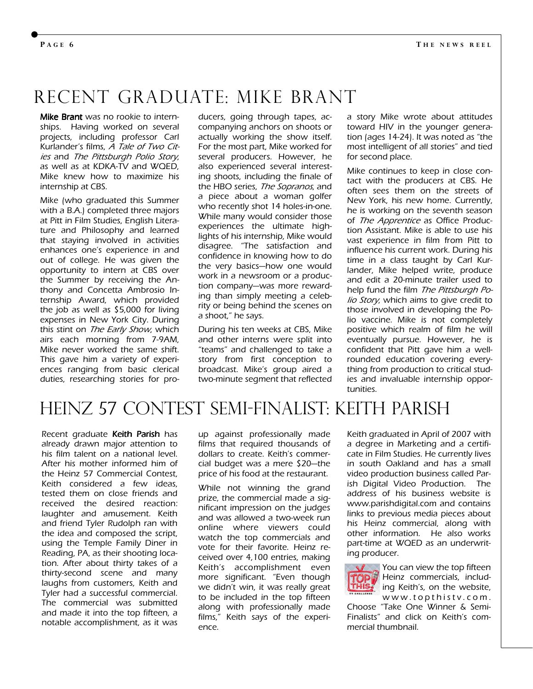## Recent Graduate: Mike Brant

Mike Brant was no rookie to internships. Having worked on several projects, including professor Carl Kurlander's films, A Tale of Two Cities and The Pittsburgh Polio Story, as well as at KDKA-TV and WQED, Mike knew how to maximize his internship at CBS.

Mike (who graduated this Summer with a B.A.) completed three majors at Pitt in Film Studies, English Literature and Philosophy and learned that staying involved in activities enhances one's experience in and out of college. He was given the opportunity to intern at CBS over the Summer by receiving the Anthony and Concetta Ambrosio Internship Award, which provided the job as well as \$5,000 for living expenses in New York City. During this stint on The Early Show, which airs each morning from 7-9AM, Mike never worked the same shift. This gave him a variety of experiences ranging from basic clerical duties, researching stories for producers, going through tapes, accompanying anchors on shoots or actually working the show itself. For the most part, Mike worked for several producers. However, he also experienced several interesting shoots, including the finale of the HBO series, The Sopranos, and a piece about a woman golfer who recently shot 14 holes-in-one. While many would consider those experiences the ultimate highlights of his internship, Mike would disagree. "The satisfaction and confidence in knowing how to do the very basics—how one would work in a newsroom or a production company—was more rewarding than simply meeting a celebrity or being behind the scenes on a shoot," he says.

During his ten weeks at CBS, Mike and other interns were split into "teams" and challenged to take a story from first conception to broadcast. Mike's group aired a two-minute segment that reflected

a story Mike wrote about attitudes toward HIV in the younger generation (ages 14-24). It was noted as "the most intelligent of all stories" and tied for second place.

Mike continues to keep in close contact with the producers at CBS. He often sees them on the streets of New York, his new home. Currently, he is working on the seventh season of The Apprentice as Office Production Assistant. Mike is able to use his vast experience in film from Pitt to influence his current work. During his time in a class taught by Carl Kurlander, Mike helped write, produce and edit a 20-minute trailer used to help fund the film The Pittsburgh Polio Story, which aims to give credit to those involved in developing the Polio vaccine. Mike is not completely positive which realm of film he will eventually pursue. However, he is confident that Pitt gave him a wellrounded education covering everything from production to critical studies and invaluable internship opportunities.

### Heinz 57 Contest Semi-Finalist: Keith Parish

Recent graduate Keith Parish has already drawn major attention to his film talent on a national level. After his mother informed him of the Heinz 57 Commercial Contest, Keith considered a few ideas, tested them on close friends and received the desired reaction: laughter and amusement. Keith and friend Tyler Rudolph ran with the idea and composed the script, using the Temple Family Diner in Reading, PA, as their shooting location. After about thirty takes of a thirty-second scene and many laughs from customers, Keith and Tyler had a successful commercial. The commercial was submitted and made it into the top fifteen, a notable accomplishment, as it was

up against professionally made films that required thousands of dollars to create. Keith's commercial budget was a mere \$20—the price of his food at the restaurant.

While not winning the grand prize, the commercial made a significant impression on the judges and was allowed a two-week run online where viewers could watch the top commercials and vote for their favorite. Heinz received over 4,100 entries, making Keith's accomplishment even more significant. "Even though we didn't win, it was really great to be included in the top fifteen along with professionally made films," Keith says of the experience.

Keith graduated in April of 2007 with a degree in Marketing and a certificate in Film Studies. He currently lives in south Oakland and has a small video production business called Parish Digital Video Production. The address of his business website is www.parishdigital.com and contains links to previous media pieces about his Heinz commercial, along with other information. He also works part-time at WQED as an underwriting producer.



You can view the top fifteen TOP Heinz commercials, includ-**HIST** ing Keith's, on the website, www.topthistv.com.

Choose "Take One Winner & Semi-Finalists" and click on Keith's commercial thumbnail.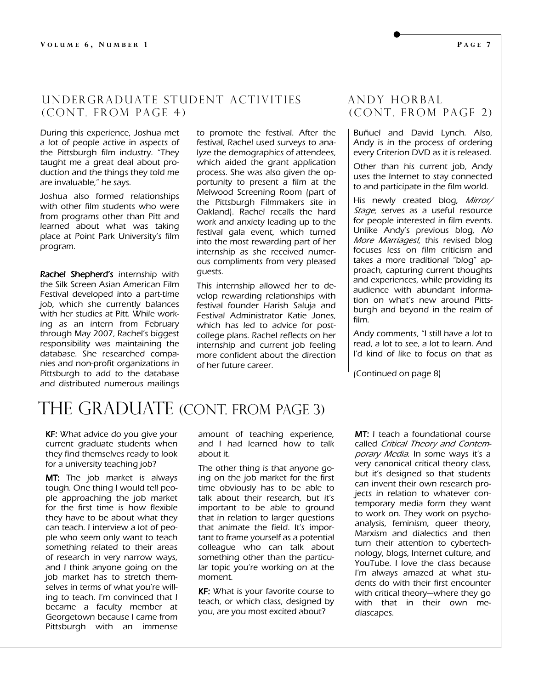#### underGraduate Student Activities andy horbal (CONT. FROM PAGE 4) (CONT. FROM PAGE 2)

During this experience, Joshua met a lot of people active in aspects of the Pittsburgh film industry. "They taught me a great deal about production and the things they told me are invaluable," he says.

Joshua also formed relationships with other film students who were from programs other than Pitt and learned about what was taking place at Point Park University's film program.

Rachel Shepherd's internship with the Silk Screen Asian American Film Festival developed into a part-time job, which she currently balances with her studies at Pitt. While working as an intern from February through May 2007, Rachel's biggest responsibility was maintaining the database. She researched companies and non-profit organizations in Pittsburgh to add to the database and distributed numerous mailings to promote the festival. After the festival, Rachel used surveys to analyze the demographics of attendees, which aided the grant application process. She was also given the opportunity to present a film at the Melwood Screening Room (part of the Pittsburgh Filmmakers site in Oakland). Rachel recalls the hard work and anxiety leading up to the festival gala event, which turned into the most rewarding part of her internship as she received numerous compliments from very pleased guests.

This internship allowed her to develop rewarding relationships with festival founder Harish Saluja and Festival Administrator Katie Jones, which has led to advice for postcollege plans. Rachel reflects on her internship and current job feeling more confident about the direction of her future career.

Buñuel and David Lynch. Also, Andy is in the process of ordering every Criterion DVD as it is released.

Other than his current job, Andy uses the Internet to stay connected to and participate in the film world.

His newly created blog, Mirror/ Stage, serves as a useful resource for people interested in film events. Unlike Andy's previous blog, No More Marriages!, this revised blog focuses less on film criticism and takes a more traditional "blog" approach, capturing current thoughts and experiences, while providing its audience with abundant information on what's new around Pittsburgh and beyond in the realm of film.

Andy comments, "I still have a lot to read, a lot to see, a lot to learn. And I'd kind of like to focus on that as

(Continued on page 8)

#### THE GRADUATE (CONT. FROM PAGE 3)

KF: What advice do you give your current graduate students when they find themselves ready to look for a university teaching job?

MT: The job market is always tough. One thing I would tell people approaching the job market for the first time is how flexible they have to be about what they can teach. I interview a lot of people who seem only want to teach something related to their areas of research in very narrow ways, and I think anyone going on the job market has to stretch themselves in terms of what you're willing to teach. I'm convinced that I became a faculty member at Georgetown because I came from Pittsburgh with an immense

amount of teaching experience, and I had learned how to talk about it.

The other thing is that anyone going on the job market for the first time obviously has to be able to talk about their research, but it's important to be able to ground that in relation to larger questions that animate the field. It's important to frame yourself as a potential colleague who can talk about something other than the particular topic you're working on at the moment.

**KF:** What is your favorite course to teach, or which class, designed by you, are you most excited about?

**MT:** I teach a foundational course called Critical Theory and Contemporary Media. In some ways it's a very canonical critical theory class, but it's designed so that students can invent their own research projects in relation to whatever contemporary media form they want to work on. They work on psychoanalysis, feminism, queer theory, Marxism and dialectics and then turn their attention to cybertechnology, blogs, Internet culture, and YouTube. I love the class because I'm always amazed at what students do with their first encounter with critical theory—where they go with that in their own mediascapes.